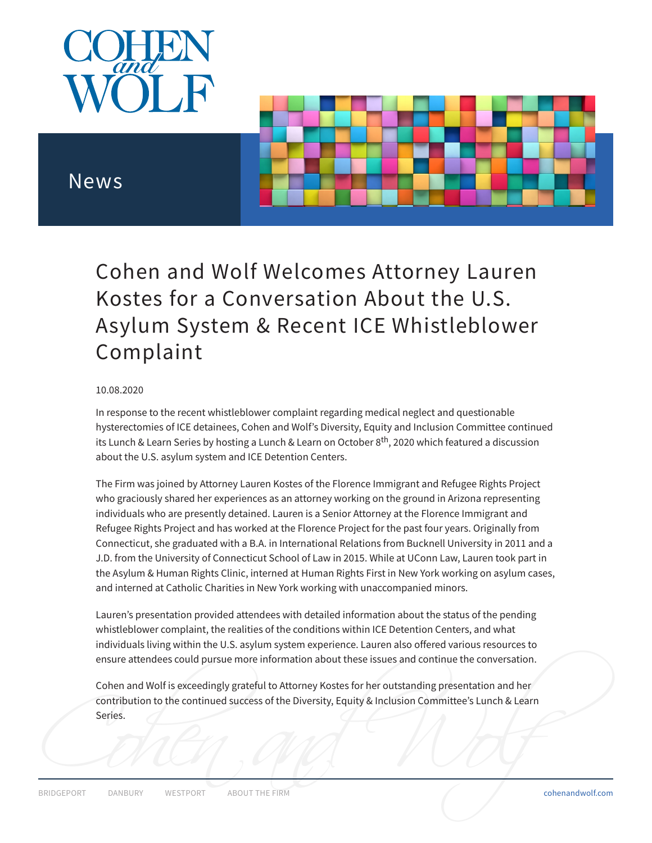

## Cohen and Wolf Welcomes Attorney Lauren Kostes for a Conversation About the U.S. Asylum System & Recent ICE Whistleblower Complaint

## 10.08.2020

In response to the recent whistleblower complaint regarding medical neglect and questionable hysterectomies of ICE detainees, Cohen and Wolf's Diversity, Equity and Inclusion Committee continued its Lunch & Learn Series by hosting a Lunch & Learn on October  $8<sup>th</sup>$ , 2020 which featured a discussion about the U.S. asylum system and ICE Detention Centers.

The Firm was joined by Attorney Lauren Kostes of the Florence Immigrant and Refugee Rights Project who graciously shared her experiences as an attorney working on the ground in Arizona representing individuals who are presently detained. Lauren is a Senior Attorney at the Florence Immigrant and Refugee Rights Project and has worked at the Florence Project for the past four years. Originally from Connecticut, she graduated with a B.A. in International Relations from Bucknell University in 2011 and a J.D. from the University of Connecticut School of Law in 2015. While at UConn Law, Lauren took part in the Asylum & Human Rights Clinic, interned at Human Rights First in New York working on asylum cases, and interned at Catholic Charities in New York working with unaccompanied minors.

Lauren's presentation provided attendees with detailed information about the status of the pending whistleblower complaint, the realities of the conditions within ICE Detention Centers, and what individuals living within the U.S. asylum system experience. Lauren also offered various resources to ensure attendees could pursue more information about these issues and continue the conversation.

Series.<br>BRIDGEPORT DANBURY WESTPORT ABOUT THE FIRM COHENAND COHENANDWOLF.com Cohen and Wolf is exceedingly grateful to Attorney Kostes for her outstanding presentation and her contribution to the continued success of the Diversity, Equity & Inclusion Committee's Lunch & Learn Series.